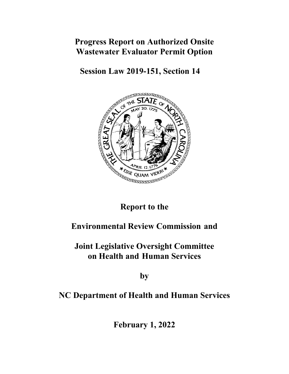# **Progress Report on Authorized Onsite Wastewater Evaluator Permit Option**

**Session Law 2019-151, Section 14** 



### **Report to the**

# **Environmental Review Commission and**

# **Joint Legislative Oversight Committee on Health and Human Services**

**by**

### **NC Department of Health and Human Services**

**February 1, 2022**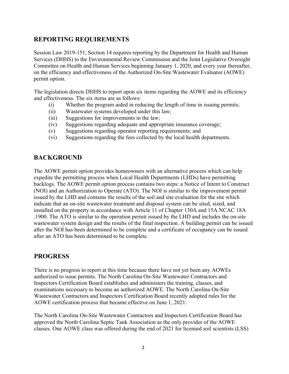#### **REPORTING REQUIREMENTS**

Session Law 2019-151, Section 14 requires reporting by the Department for Health and Human Services (DHHS) to the Environmental Review Commission and the Joint Legislative Oversight Committee on Health and Human Services beginning January 1, 2020, and every year thereafter, on the efficiency and effectiveness of the Authorized On-Site Wastewater Evaluator (AOWE) permit option.

The legislation directs DHHS to report upon six items regarding the AOWE and its efficiency and effectiveness. The six items are as follows:

- (i) Whether the program aided in reducing the length of time in issuing permits;
- (ii) Wastewater systems developed under this law;
- (iii) Suggestions for improvements in the law;
- (iv) Suggestions regarding adequate and appropriate insurance coverage;
- (v) Suggestions regarding operator reporting requirements; and
- (vi) Suggestions regarding the fees collected by the local health departments.

### **BACKGROUND**

The AOWE permit option provides homeowners with an alternative process which can help expedite the permitting process when Local Health Departments (LHDs) have permitting backlogs. The AOWE permit option process contains two steps: a Notice of Intent to Construct (NOI) and an Authorization to Operate (ATO). The NOI is similar to the improvement permit issued by the LHD and contains the results of the soil and site evaluation for the site which indicate that an on-site wastewater treatment and disposal system can be sited, sized, and installed on the property in accordance with Article 11 of Chapter 130A and 15A NCAC 18A .1900. The ATO is similar to the operation permit issued by the LHD and includes the on-site wastewater system design and the results of the final inspection. A building permit can be issued after the NOI has been determined to be complete and a certificate of occupancy can be issued after an ATO has been determined to be complete.

#### **PROGRESS**

There is no progress to report at this time because there have not yet been any AOWEs authorized to issue permits. The North Carolina On-Site Wastewater Contractors and Inspectors Certification Board establishes and administers the training, classes, and examinations necessary to become an authorized AOWE. The North Carolina On-Site Wastewater Contractors and Inspectors Certification Board recently adopted rules for the AOWE certification process that became effective on June 1, 2021.

The North Carolina On-Site Wastewater Contractors and Inspectors Certification Board has approved the North Carolina Septic Tank Association as the only provider of the AOWE classes. One AOWE class was offered during the end of 2021 for licensed soil scientists (LSS)